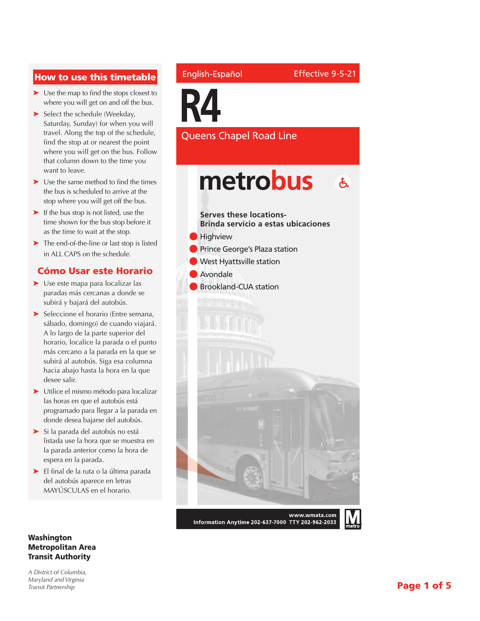### How to use this timetable

- ➤ Use the map to find the stops closest to where you will get on and off the bus.
- ➤ Select the schedule (Weekday, Saturday, Sunday) for when you will travel. Along the top of the schedule, find the stop at or nearest the point where you will get on the bus. Follow that column down to the time you want to leave.
- ➤ Use the same method to find the times the bus is scheduled to arrive at the stop where you will get off the bus.
- ➤ If the bus stop is not listed, use the time shown for the bus stop before it as the time to wait at the stop.
- ➤ The end-of-the-line or last stop is listed in ALL CAPS on the schedule.

#### Cómo Usar este Horario

- ➤ Use este mapa para localizar las paradas más cercanas a donde se subirá y bajará del autobús.
- ➤ Seleccione el horario (Entre semana, sábado, domingo) de cuando viajará. A lo largo de la parte superior del horario, localice la parada o el punto más cercano a la parada en la que se subirá al autobús. Siga esa columna hacia abajo hasta la hora en la que desee salir.
- ➤ Utilice el mismo método para localizar las horas en que el autobús está programado para llegar a la parada en donde desea bajarse del autobús.
- ➤ Si la parada del autobús no está listada use la hora que se muestra en la parada anterior como la hora de espera en la parada.
- ➤ El final de la ruta o la última parada del autobús aparece en letras MAYÚSCULAS en el horario.

#### Washington Metropolitan Area Transit Authority

*A District of Columbia, Maryland and Virginia Transit Partnership*

#### English-Español

Effective 9-5-21

**R4**

Queens Chapel Road Line

## metrobus  $\mathbf{A}$

**Serves these locations-Brinda servicio a estas ubicaciones Highview Prince George's Plaza station West Hyattsville station** l Avondale **Brookland-CUA station** 

www.wmata.com Information Anytime 202-637-7000 TTY 202-962-2033

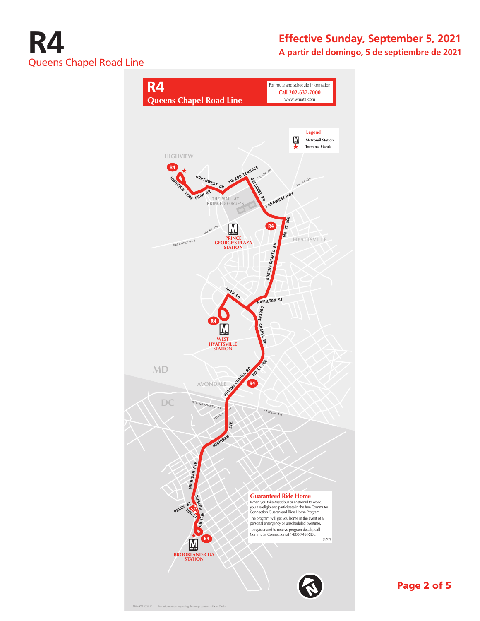

### **Effective Sunday, September 5, 2021 A partir del domingo, 5 de septiembre de 2021**



Page 2 of 5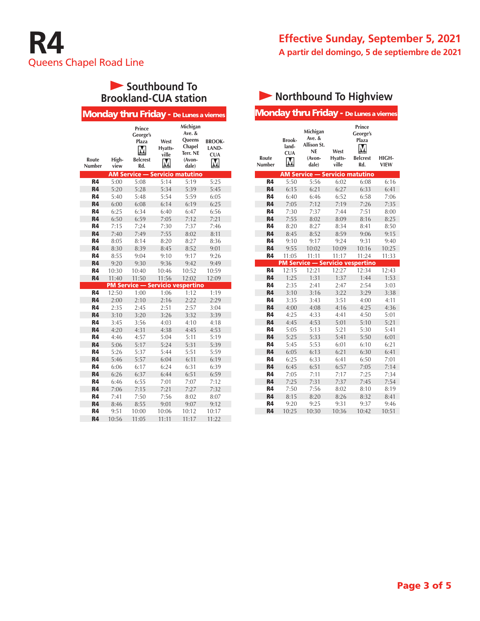## **Southbound To Brookland-CUA station**

|                        |               | Monday thru Friday - De Lunes a viernes                    |                               |                                                                              |                                           |
|------------------------|---------------|------------------------------------------------------------|-------------------------------|------------------------------------------------------------------------------|-------------------------------------------|
| Route<br><b>Number</b> | High-<br>view | Prince<br>George's<br>Plaza<br>М<br><b>Belcrest</b><br>Rd. | West<br>Hyatts-<br>ville<br>Μ | Michigan<br>Ave. &<br><b>Queens</b><br>Chapel<br>Terr. NE<br>(Avon-<br>dale) | <b>BROOK-</b><br>LAND-<br><b>CUA</b><br>M |
|                        |               | <b>AM Service - Servicio matutino</b>                      |                               |                                                                              |                                           |
| <b>R4</b>              | 5:00          | 5:08                                                       | 5:14                          | 5:19                                                                         | 5:25                                      |
| R <sub>4</sub>         | 5:20          | 5:28                                                       | 5:34                          | 5:39                                                                         | 5:45                                      |
| R4                     | 5:40          | 5:48                                                       | 5:54                          | 5:59                                                                         | 6:05                                      |
| <b>R4</b>              | 6:00          | 6:08                                                       | 6:14                          | 6:19                                                                         | 6:25                                      |
| R4                     | 6:25          | 6:34                                                       | 6:40                          | 6:47                                                                         | 6:56                                      |
| <b>R4</b>              | 6:50          | 6:59                                                       | 7:05                          | 7:12                                                                         | 7:21                                      |
| R4                     | 7:15          | 7:24                                                       | 7:30                          | 7:37                                                                         | 7:46                                      |
| <b>R4</b>              | 7:40          | 7:49                                                       | 7:55                          | 8:02                                                                         | 8:11                                      |
| R4                     | 8:05          | 8:14                                                       | 8:20                          | 8:27                                                                         | 8:36                                      |
| <b>R4</b>              | 8:30          | 8:39                                                       | 8:45                          | 8:52                                                                         | 9:01                                      |
| R4                     | 8:55          | 9:04                                                       | 9:10                          | 9:17                                                                         | 9:26                                      |
| <b>R4</b>              | 9:20          | 9:30                                                       | 9:36                          | 9:42                                                                         | 9:49                                      |
| <b>R4</b>              | 10:30         | 10:40                                                      | 10:46                         | 10:52                                                                        | 10:59                                     |
| <b>R4</b>              | 11:40         | 11:50                                                      | 11:56                         | 12:02                                                                        | 12:09                                     |
|                        |               | <b>PM Service - Servicio vespertino</b>                    |                               |                                                                              |                                           |
| <b>R4</b>              | 12:50         | 1:00                                                       | 1:06                          | 1:12                                                                         | 1:19                                      |
| <b>R4</b>              | 2:00          | 2:10                                                       | 2:16                          | 2:22                                                                         | 2:29                                      |
| R4                     | 2:35          | 2:45                                                       | 2:51                          | 2:57                                                                         | 3:04                                      |
| R <sub>4</sub>         | 3:10          | 3:20                                                       | 3:26                          | 3:32                                                                         | 3:39                                      |
| <b>R4</b>              | 3:45          | 3:56                                                       | 4:03                          | 4:10                                                                         | 4:18                                      |
| <b>R4</b>              | 4:20          | 4:31                                                       | 4:38                          | 4:45                                                                         | 4:53                                      |
| R4                     | 4:46          | 4:57                                                       | 5:04                          | 5:11                                                                         | 5:19                                      |
| R <sub>4</sub>         | 5:06          | 5:17                                                       | 5:24                          | 5:31                                                                         | 5:39                                      |
| R4                     | 5:26          | 5:37                                                       | 5:44                          | 5:51                                                                         | 5:59                                      |
| <b>R4</b>              | 5:46          | 5:57                                                       | 6:04                          | 6:11                                                                         | 6:19                                      |
| R4                     | 6:06          | 6:17                                                       | 6:24                          | 6:31                                                                         | 6:39                                      |
| <b>R4</b>              | 6:26          | 6:37                                                       | 6:44                          | 6:51                                                                         | 6:59                                      |
| R4                     | 6:46          | 6:55                                                       | 7:01                          | 7:07                                                                         | 7:12                                      |
| <b>R4</b>              | 7:06          | 7:15                                                       | 7:21                          | 7:27                                                                         | 7:32                                      |
| R4                     | 7:41          | 7:50                                                       | 7:56                          | 8:02                                                                         | 8:07                                      |
| <b>R4</b>              | 8:46          | 8:55                                                       | 9:01                          | 9:07                                                                         | 9:12                                      |
| R4                     | 9:51          | 10:00                                                      | 10:06                         | 10:12                                                                        | 10:17                                     |
| <b>R4</b>              | 10:56         | 11:05                                                      | 11:11                         | 11:17                                                                        | 11:22                                     |
|                        |               |                                                            |                               |                                                                              |                                           |

# **Northbound To Highview**

Monday thru Friday - De Lunes a viernes

| Route<br>Number | Brook-<br>land-<br><b>CUA</b><br>M | Michigan<br>Ave. &<br>Allison St.<br><b>NE</b><br>(Avon-<br>dale) | West<br>Hyatts-<br>ville | Prince<br>George's<br>Plaza<br><b>Belcrest</b><br>Rd. | HIGH-<br><b>VIEW</b> |
|-----------------|------------------------------------|-------------------------------------------------------------------|--------------------------|-------------------------------------------------------|----------------------|
|                 |                                    | <b>AM Service - Servicio matutino</b>                             |                          |                                                       |                      |
| <b>R4</b>       | 5:50                               | 5:56                                                              | 6:02                     | 6:08                                                  | 6:16                 |
| R4              | 6:15                               | 6:21                                                              | 6:27                     | 6:33                                                  | 6:41                 |
| R4              | 6:40                               | 6:46                                                              | 6:52                     | 6:58                                                  | 7:06                 |
| <b>R4</b>       | 7:05                               | 7:12                                                              | 7:19                     | 7:26                                                  | 7:35                 |
| R4              | 7:30                               | 7:37                                                              | 7:44                     | 7:51                                                  | 8:00                 |
| R4              | 7:55                               | 8:02                                                              | 8:09                     | 8:16                                                  | 8:25                 |
| R4              | 8:20                               | 8:27                                                              | 8:34                     | 8:41                                                  | 8:50                 |
| R4              | 8:45                               | 8:52                                                              | 8:59                     | 9:06                                                  | 9:15                 |
| R4              | 9:10                               | 9:17                                                              | 9:24                     | 9:31                                                  | 9:40                 |
| R4              | 9:55                               | 10:02                                                             | 10:09                    | 10:16                                                 | 10:25                |
| R4              | 11:05                              | 11:11                                                             | 11:17                    | 11:24                                                 | 11:33                |
|                 |                                    | <b>PM Service - Servicio vespertino</b>                           |                          |                                                       |                      |
| R4              | 12:15                              | 12:21                                                             | 12:27                    | 12:34                                                 | 12:43                |
| R <sub>4</sub>  | 1:25                               | 1:31                                                              | 1:37                     | 1:44                                                  | 1:53                 |
| R4              | 2:35                               | 2:41                                                              | 2:47                     | 2:54                                                  | 3:03                 |
| R4              | 3:10                               | 3:16                                                              | 3:22                     | 3:29                                                  | 3:38                 |
| R4              | 3:35                               | 3:43                                                              | 3:51                     | 4:00                                                  | 4:11                 |
| R4              | 4:00                               | 4:08                                                              | 4:16                     | 4:25                                                  | 4:36                 |
| R4              | 4:25                               | 4:33                                                              | 4:41                     | 4:50                                                  | 5:01                 |
| <b>R4</b>       | 4:45                               | 4:53                                                              | 5:01                     | 5:10                                                  | 5:21                 |
| R4              | 5:05                               | 5:13                                                              | 5:21                     | 5:30                                                  | 5:41                 |
| R4              | 5:25                               | 5:33                                                              | 5:41                     | 5:50                                                  | 6:01                 |
| R4              | 5:45                               | 5:53                                                              | 6:01                     | 6:10                                                  | 6:21                 |
| R4              | 6:05                               | 6:13                                                              | 6:21                     | 6:30                                                  | 6:41                 |
| R4              | 6:25                               | 6:33                                                              | 6:41                     | 6:50                                                  | 7:01                 |
| R <sub>4</sub>  | 6:45                               | 6:51                                                              | 6:57                     | 7:05                                                  | 7:14                 |
| R4              | 7:05                               | 7:11                                                              | 7:17                     | 7:25                                                  | 7:34                 |
| <b>R4</b>       | 7:25                               | 7:31                                                              | 7:37                     | 7:45                                                  | 7:54                 |
| R4              | 7:50                               | 7:56                                                              | 8:02                     | 8:10                                                  | 8:19                 |
| R4              | 8:15                               | 8:20                                                              | 8:26                     | 8:32                                                  | 8:41                 |
| R4              | 9:20                               | 9:25                                                              | 9:31                     | 9:37                                                  | 9:46                 |
| R4              | 10:25                              | 10:30                                                             | 10:36                    | 10:42                                                 | 10:51                |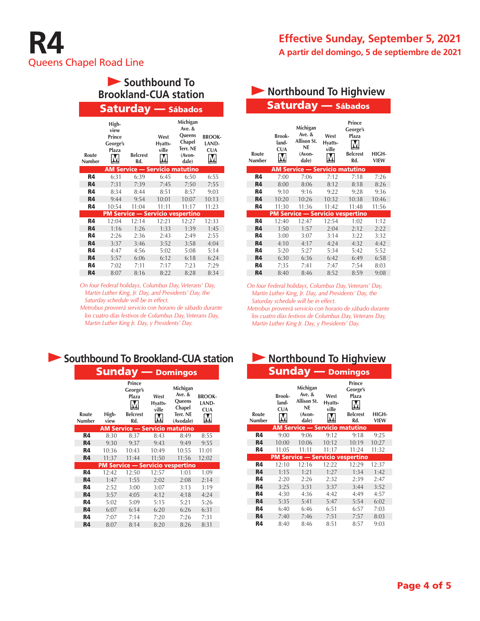| Southbound To<br><b>Brookland-CUA station</b> |                                              |                                       |                          |                                                                       |                                      |  |  |  |
|-----------------------------------------------|----------------------------------------------|---------------------------------------|--------------------------|-----------------------------------------------------------------------|--------------------------------------|--|--|--|
|                                               | <b>Saturday</b> — Sábados                    |                                       |                          |                                                                       |                                      |  |  |  |
| Route<br>Number                               | High-<br>view<br>Prince<br>George's<br>Plaza | <b>Belcrest</b><br>Rd.                | West<br>Hyatts-<br>ville | Michigan<br>Ave. &<br>Queens<br>Chapel<br>Terr. NE<br>(Avon-<br>dale) | <b>BROOK-</b><br>LAND-<br><b>CUA</b> |  |  |  |
|                                               |                                              | <b>AM Service - Servicio matutino</b> |                          |                                                                       |                                      |  |  |  |
| <b>R4</b>                                     | 6:31                                         | 6:39                                  | 6:45                     | 6:50                                                                  | 6:55                                 |  |  |  |
| <b>R4</b>                                     | 7:31                                         | 7:39                                  | 7:45                     | 7:50                                                                  | 7:55                                 |  |  |  |
| R4                                            | 8:34                                         | 8:44                                  | 8:51                     | 8:57                                                                  | 9:03                                 |  |  |  |
| <b>R4</b>                                     | 9:44                                         | 9:54                                  | 10:01                    | 10:07                                                                 | 10:13                                |  |  |  |
| R4                                            | 10:54                                        | 11:04                                 | 11:11                    | 11:17                                                                 | 11:23                                |  |  |  |
|                                               |                                              |                                       |                          | <b>PM Service - Servicio vespertino</b>                               |                                      |  |  |  |
| <b>R4</b>                                     | 12:04                                        | 12:14                                 | 12:21                    | 12:27                                                                 | 12:33                                |  |  |  |
| <b>R4</b>                                     | 1:16                                         | 1:26                                  | 1:33                     | 1:39                                                                  | 1:45                                 |  |  |  |
| R4                                            | 2:26                                         | 2:36                                  | 2:43                     | 2:49                                                                  | 2:55                                 |  |  |  |
| <b>R4</b>                                     | 3:37                                         | 3:46                                  | 3:52                     | 3:58                                                                  | 4:04                                 |  |  |  |
| R4                                            | 4:47                                         | 4:56                                  | 5:02                     | 5:08                                                                  | 5:14                                 |  |  |  |
| <b>R4</b>                                     | 5:57                                         | 6:06                                  | 6:12                     | 6:18                                                                  | 6:24                                 |  |  |  |
| R4                                            | 7:02                                         | 7:11                                  | 7:17                     | 7:23                                                                  | 7:29                                 |  |  |  |
| <b>R4</b>                                     | 8:07                                         | 8:16                                  | 8:22                     | 8:28                                                                  | 8:34                                 |  |  |  |

*On four Federal holidays, Columbus Day, Veterans' Day, Martin Luther King, Jr. Day, and Presidents' Day, the Saturday schedule will be in effect.*

*Metrobus proveerá servicio con horario de sábado durante los cuatro días festivos de Columbus Day, Veterans Day, Martin Luther King Jr. Day, y Presidents' Day.*

|                 |               | <b>Southbound To Brookland-CUA station</b>            |                          |                                                                   |                                      |
|-----------------|---------------|-------------------------------------------------------|--------------------------|-------------------------------------------------------------------|--------------------------------------|
|                 |               | <b>Sunday</b> — Domingos                              |                          |                                                                   |                                      |
| Route<br>Number | High-<br>view | Prince<br>George's<br>Plaza<br><b>Belcrest</b><br>Rd. | West<br>Hyatts-<br>ville | Michigan<br>Ave. $&$<br>Queens<br>Chapel<br>Terr. NE<br>(Avodale) | <b>BROOK-</b><br>LAND-<br><b>CUA</b> |
|                 |               | <b>AM Service - Servicio matutino</b>                 |                          |                                                                   |                                      |
| R4              | 8:30          | 8:37                                                  | 8:43                     | 8:49                                                              | 8:55                                 |
| <b>R4</b>       | 9:30          | 9:37                                                  | 9:43                     | 9:49                                                              | 9:55                                 |
| R4              | 10:36         | 10:43                                                 | 10:49                    | 10:55                                                             | 11:01                                |
| <b>R4</b>       | 11:37         | 11:44                                                 | 11:50                    | 11:56                                                             | 12:02                                |
|                 |               | <b>PM Service - Servicio vespertino</b>               |                          |                                                                   |                                      |
| R4              | 12:42         | 12:50                                                 | 12:57                    | 1:03                                                              | 1:09                                 |
| <b>R4</b>       | 1:47          | 1:55                                                  | 2:02                     | 2:08                                                              | 2:14                                 |
| R4              | 2:52          | 3:00                                                  | 3:07                     | 3:13                                                              | 3:19                                 |
| R4              | 3:57          | 4:05                                                  | 4:12                     | 4:18                                                              | 4:24                                 |

**R4** 5:02 5:09 5:15 5:21 5:26 **R4** 6:07 6:14 6:20 6:26 6:31 **R4** 7:07 7:14 7:20 7:26 7:31 **R4** 8:07 8:14 8:20 8:26 8:31

| Northbound To Highview |                               |                                                                     |                          |                                                       |                      |  |  |  |
|------------------------|-------------------------------|---------------------------------------------------------------------|--------------------------|-------------------------------------------------------|----------------------|--|--|--|
|                        |                               | <b>Saturday - Sábados</b>                                           |                          |                                                       |                      |  |  |  |
| Route<br>Number        | Brook-<br>land-<br><b>CUA</b> | Michigan<br>Ave. $&$<br>Allison St.<br><b>NE</b><br>(Avon-<br>dale) | West<br>Hyatts-<br>ville | Prince<br>George's<br>Plaza<br><b>Belcrest</b><br>Rd. | HIGH-<br><b>VIEW</b> |  |  |  |
|                        |                               | <b>AM Service - Servicio matutino</b>                               |                          |                                                       |                      |  |  |  |
| R4                     | 7:00                          | 7:06                                                                | 7:12                     | 7:18                                                  | 7:26                 |  |  |  |
| <b>R4</b>              | 8:00                          | 8:06                                                                | 8:12                     | 8:18                                                  | 8:26                 |  |  |  |
| R4                     | 9:10                          | 9:16                                                                | 9:22                     | 9:28                                                  | 9:36                 |  |  |  |
| <b>R4</b>              | 10:20                         | 10:26                                                               | 10:32                    | 10:38                                                 | 10:46                |  |  |  |
| R4                     | 11:30                         | 11:36                                                               | 11:42                    | 11:48                                                 | 11:56                |  |  |  |
|                        |                               | <b>PM Service - Servicio vespertino</b>                             |                          |                                                       |                      |  |  |  |
| R4                     | 12:40                         | 12:47                                                               | 12:54                    | 1:02                                                  | 1:12                 |  |  |  |
| <b>R4</b>              | 1:50                          | 1:57                                                                | 2:04                     | 2:12                                                  | 2:22                 |  |  |  |
| R4                     | 3:00                          | 3:07                                                                | 3:14                     | 3:22                                                  | 3:32                 |  |  |  |
| <b>R4</b>              | 4:10                          | 4:17                                                                | 4:24                     | 4:32                                                  | 4:42                 |  |  |  |
| R4                     | 5:20                          | 5:27                                                                | 5:34                     | 5:42                                                  | 5:52                 |  |  |  |
| <b>R4</b>              | 6:30                          | 6:36                                                                | 6:42                     | 6:49                                                  | 6:58                 |  |  |  |
| R4                     | 7:35                          | 7:41                                                                | 7:47                     | 7:54                                                  | 8:03                 |  |  |  |
| <b>R4</b>              | 8:40                          | 8:46                                                                | 8:52                     | 8:59                                                  | 9:08                 |  |  |  |

*On four Federal holidays, Columbus Day, Veterans' Day, Martin Luther King, Jr. Day, and Presidents' Day, the Saturday schedule will be in effect.*

*Metrobus proveerá servicio con horario de sábado durante los cuatro días festivos de Columbus Day, Veterans Day, Martin Luther King Jr. Day, y Presidents' Day.*



| Route<br>Number | Brook-<br>land-<br><b>CUA</b> | Michigan<br>Ave. &<br>Allison St.<br><b>NE</b><br>(Avon-<br>dale) | West<br>Hyatts-<br>ville | Prince<br>George's<br>Plaza<br><b>Belcrest</b><br>Rd. | HIGH-<br><b>VIEW</b> |  |
|-----------------|-------------------------------|-------------------------------------------------------------------|--------------------------|-------------------------------------------------------|----------------------|--|
|                 |                               | <b>AM Service - Servicio matutino</b>                             |                          |                                                       |                      |  |
| R4              | 9:00                          | 9:06                                                              | 9:12                     | 9:18                                                  | 9:25                 |  |
| R4              | 10:00                         | 10:06                                                             | 10:12                    | 10:19                                                 | 10:27                |  |
| R4              | 11:05                         | 11:11                                                             | 11:17                    | 11:24                                                 | 11:32                |  |
|                 |                               | <u> PM Service — Servicio vespertino</u>                          |                          |                                                       |                      |  |
| R4              | 12:10                         | 12:16                                                             | 12:22                    | 12:29                                                 | 12:37                |  |
| R4              | 1:15                          | 1:21                                                              | 1:27                     | 1:34                                                  | 1:42                 |  |
| R4              | 2:20                          | 2:26                                                              | 2:32                     | 2:39                                                  | 2:47                 |  |
| R4              | 3:25                          | 3:31                                                              | 3:37                     | 3:44                                                  | 3:52                 |  |
| R4              | 4:30                          | 4:36                                                              | 4:42                     | 4:49                                                  | 4:57                 |  |
| R4              | 5:35                          | 5:41                                                              | 5:47                     | 5:54                                                  | 6:02                 |  |
| R4              | 6:40                          | 6:46                                                              | 6:51                     | 6:57                                                  | 7:03                 |  |
| R4              | 7:40                          | 7:46                                                              | 7:51                     | 7:57                                                  | 8:03                 |  |
| R4              | 8:40                          | 8:46                                                              | 8:51                     | 8:57                                                  | 9:03                 |  |